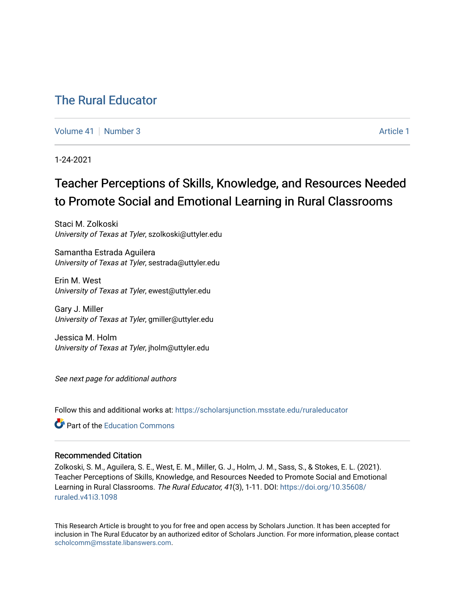# [The Rural Educator](https://scholarsjunction.msstate.edu/ruraleducator)

[Volume 41](https://scholarsjunction.msstate.edu/ruraleducator/vol41) | [Number 3](https://scholarsjunction.msstate.edu/ruraleducator/vol41/iss3) Article 1

1-24-2021

# Teacher Perceptions of Skills, Knowledge, and Resources Needed to Promote Social and Emotional Learning in Rural Classrooms

Staci M. Zolkoski University of Texas at Tyler, szolkoski@uttyler.edu

Samantha Estrada Aguilera University of Texas at Tyler, sestrada@uttyler.edu

Erin M. West University of Texas at Tyler, ewest@uttyler.edu

Gary J. Miller University of Texas at Tyler, gmiller@uttyler.edu

Jessica M. Holm University of Texas at Tyler, jholm@uttyler.edu

See next page for additional authors

Follow this and additional works at: [https://scholarsjunction.msstate.edu/ruraleducator](https://scholarsjunction.msstate.edu/ruraleducator?utm_source=scholarsjunction.msstate.edu%2Fruraleducator%2Fvol41%2Fiss3%2F1&utm_medium=PDF&utm_campaign=PDFCoverPages)

**C** Part of the [Education Commons](http://network.bepress.com/hgg/discipline/784?utm_source=scholarsjunction.msstate.edu%2Fruraleducator%2Fvol41%2Fiss3%2F1&utm_medium=PDF&utm_campaign=PDFCoverPages)

# Recommended Citation

Zolkoski, S. M., Aguilera, S. E., West, E. M., Miller, G. J., Holm, J. M., Sass, S., & Stokes, E. L. (2021). Teacher Perceptions of Skills, Knowledge, and Resources Needed to Promote Social and Emotional Learning in Rural Classrooms. The Rural Educator, 41(3), 1-11. DOI: [https://doi.org/10.35608/](https://doi.org/10.35608/ruraled.v41i3.1098) [ruraled.v41i3.1098](https://doi.org/10.35608/ruraled.v41i3.1098) 

This Research Article is brought to you for free and open access by Scholars Junction. It has been accepted for inclusion in The Rural Educator by an authorized editor of Scholars Junction. For more information, please contact [scholcomm@msstate.libanswers.com.](mailto:scholcomm@msstate.libanswers.com)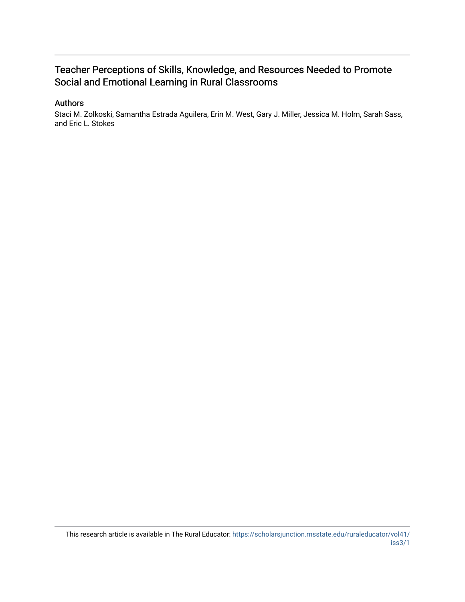# Teacher Perceptions of Skills, Knowledge, and Resources Needed to Promote Social and Emotional Learning in Rural Classrooms

# Authors

Staci M. Zolkoski, Samantha Estrada Aguilera, Erin M. West, Gary J. Miller, Jessica M. Holm, Sarah Sass, and Eric L. Stokes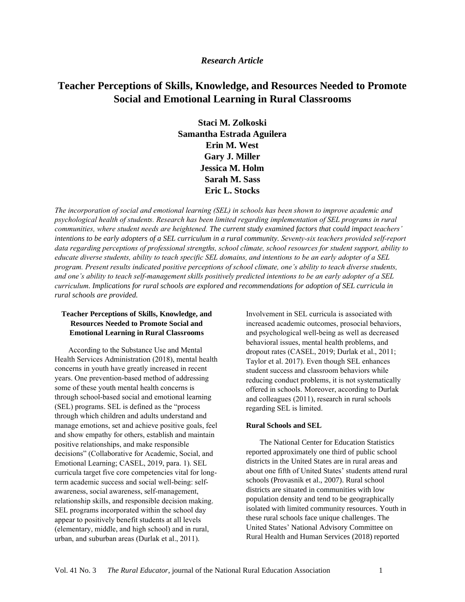# *Research Article*

# **Teacher Perceptions of Skills, Knowledge, and Resources Needed to Promote Social and Emotional Learning in Rural Classrooms**

**Staci M. Zolkoski Samantha Estrada Aguilera Erin M. West Gary J. Miller Jessica M. Holm Sarah M. Sass Eric L. Stocks**

*The incorporation of social and emotional learning (SEL) in schools has been shown to improve academic and psychological health of students. Research has been limited regarding implementation of SEL programs in rural communities, where student needs are heightened. The current study examined factors that could impact teachers' intentions to be early adopters of a SEL curriculum in a rural community. Seventy-six teachers provided self-report data regarding perceptions of professional strengths, school climate, school resources for student support, ability to educate diverse students, ability to teach specific SEL domains, and intentions to be an early adopter of a SEL program. Present results indicated positive perceptions of school climate, one's ability to teach diverse students, and one's ability to teach self-management skills positively predicted intentions to be an early adopter of a SEL curriculum. Implications for rural schools are explored and recommendations for adoption of SEL curricula in rural schools are provided.* 

# **Teacher Perceptions of Skills, Knowledge, and Resources Needed to Promote Social and Emotional Learning in Rural Classrooms**

According to the Substance Use and Mental Health Services Administration (2018), mental health concerns in youth have greatly increased in recent years. One prevention-based method of addressing some of these youth mental health concerns is through school-based social and emotional learning (SEL) programs. SEL is defined as the "process through which children and adults understand and manage emotions, set and achieve positive goals, feel and show empathy for others, establish and maintain positive relationships, and make responsible decisions" (Collaborative for Academic, Social, and Emotional Learning; CASEL, 2019, para. 1). SEL curricula target five core competencies vital for longterm academic success and social well-being: selfawareness, social awareness, self-management, relationship skills, and responsible decision making. SEL programs incorporated within the school day appear to positively benefit students at all levels (elementary, middle, and high school) and in rural, urban, and suburban areas (Durlak et al., 2011).

Involvement in SEL curricula is associated with increased academic outcomes, prosocial behaviors, and psychological well-being as well as decreased behavioral issues, mental health problems, and dropout rates (CASEL, 2019; Durlak et al., 2011; Taylor et al. 2017). Even though SEL enhances student success and classroom behaviors while reducing conduct problems, it is not systematically offered in schools. Moreover, according to Durlak and colleagues (2011), research in rural schools regarding SEL is limited.

# **Rural Schools and SEL**

The National Center for Education Statistics reported approximately one third of public school districts in the United States are in rural areas and about one fifth of United States' students attend rural schools (Provasnik et al., 2007). Rural school districts are situated in communities with low population density and tend to be geographically isolated with limited community resources. Youth in these rural schools face unique challenges. The United States' National Advisory Committee on Rural Health and Human Services (2018) reported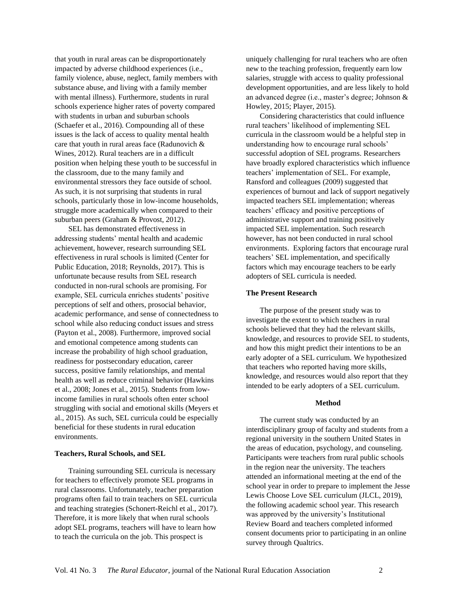that youth in rural areas can be disproportionately impacted by adverse childhood experiences (i.e., family violence, abuse, neglect, family members with substance abuse, and living with a family member with mental illness). Furthermore, students in rural schools experience higher rates of poverty compared with students in urban and suburban schools (Schaefer et al., 2016). Compounding all of these issues is the lack of access to quality mental health care that youth in rural areas face (Radunovich & Wines, 2012). Rural teachers are in a difficult position when helping these youth to be successful in the classroom, due to the many family and environmental stressors they face outside of school. As such, it is not surprising that students in rural schools, particularly those in low-income households, struggle more academically when compared to their suburban peers (Graham & Provost, 2012).

SEL has demonstrated effectiveness in addressing students' mental health and academic achievement, however, research surrounding SEL effectiveness in rural schools is limited (Center for Public Education, 2018; Reynolds, 2017). This is unfortunate because results from SEL research conducted in non-rural schools are promising. For example, SEL curricula enriches students' positive perceptions of self and others, prosocial behavior, academic performance, and sense of connectedness to school while also reducing conduct issues and stress (Payton et al., 2008). Furthermore, improved social and emotional competence among students can increase the probability of high school graduation, readiness for postsecondary education, career success, positive family relationships, and mental health as well as reduce criminal behavior (Hawkins et al., 2008; Jones et al., 2015). Students from lowincome families in rural schools often enter school struggling with social and emotional skills (Meyers et al., 2015). As such, SEL curricula could be especially beneficial for these students in rural education environments.

#### **Teachers, Rural Schools, and SEL**

Training surrounding SEL curricula is necessary for teachers to effectively promote SEL programs in rural classrooms. Unfortunately, teacher preparation programs often fail to train teachers on SEL curricula and teaching strategies (Schonert-Reichl et al., 2017). Therefore, it is more likely that when rural schools adopt SEL programs, teachers will have to learn how to teach the curricula on the job. This prospect is

uniquely challenging for rural teachers who are often new to the teaching profession, frequently earn low salaries, struggle with access to quality professional development opportunities, and are less likely to hold an advanced degree (i.e., master's degree; Johnson & Howley, 2015; Player, 2015).

Considering characteristics that could influence rural teachers' likelihood of implementing SEL curricula in the classroom would be a helpful step in understanding how to encourage rural schools' successful adoption of SEL programs. Researchers have broadly explored characteristics which influence teachers' implementation of SEL. For example, Ransford and colleagues (2009) suggested that experiences of burnout and lack of support negatively impacted teachers SEL implementation; whereas teachers' efficacy and positive perceptions of administrative support and training positively impacted SEL implementation. Such research however, has not been conducted in rural school environments. Exploring factors that encourage rural teachers' SEL implementation, and specifically factors which may encourage teachers to be early adopters of SEL curricula is needed.

## **The Present Research**

The purpose of the present study was to investigate the extent to which teachers in rural schools believed that they had the relevant skills, knowledge, and resources to provide SEL to students, and how this might predict their intentions to be an early adopter of a SEL curriculum. We hypothesized that teachers who reported having more skills, knowledge, and resources would also report that they intended to be early adopters of a SEL curriculum.

#### **Method**

The current study was conducted by an interdisciplinary group of faculty and students from a regional university in the southern United States in the areas of education, psychology, and counseling. Participants were teachers from rural public schools in the region near the university. The teachers attended an informational meeting at the end of the school year in order to prepare to implement the Jesse Lewis Choose Love SEL curriculum (JLCL, 2019), the following academic school year. This research was approved by the university's Institutional Review Board and teachers completed informed consent documents prior to participating in an online survey through Qualtrics.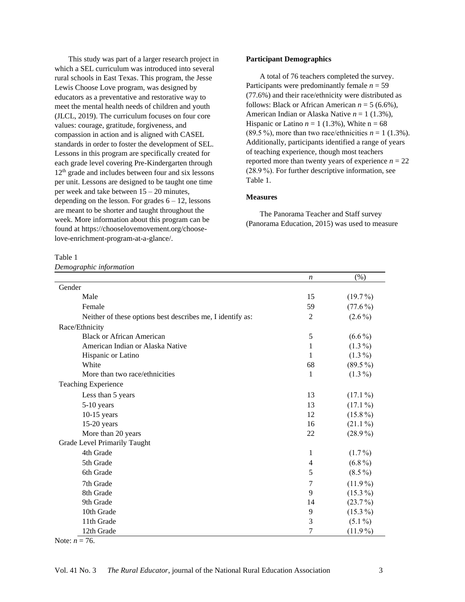This study was part of a larger research project in which a SEL curriculum was introduced into several rural schools in East Texas. This program, the Jesse Lewis Choose Love program, was designed by educators as a preventative and restorative way to meet the mental health needs of children and youth (JLCL, 2019). The curriculum focuses on four core values: courage, gratitude, forgiveness, and compassion in action and is aligned with CASEL standards in order to foster the development of SEL. Lessons in this program are specifically created for each grade level covering Pre-Kindergarten through 12<sup>th</sup> grade and includes between four and six lessons per unit. Lessons are designed to be taught one time per week and take between 15 – 20 minutes, depending on the lesson. For grades  $6 - 12$ , lessons are meant to be shorter and taught throughout the week. More information about this program can be found a[t https://chooselovemovement.org/choose](https://chooselovemovement.org/choose-love-enrichment-program-at-a-glance/)[love-enrichment-program-at-a-glance/.](https://chooselovemovement.org/choose-love-enrichment-program-at-a-glance/)

Table 1

*Demographic information* 

# **Participant Demographics**

A total of 76 teachers completed the survey. Participants were predominantly female  $n = 59$ (77.6%) and their race/ethnicity were distributed as follows: Black or African American  $n = 5$  (6.6%), American Indian or Alaska Native *n* = 1 (1.3%), Hispanic or Latino  $n = 1$  (1.3%), White  $n = 68$ (89.5 %), more than two race/ethnicities  $n = 1$  (1.3%). Additionally, participants identified a range of years of teaching experience, though most teachers reported more than twenty years of experience  $n = 22$ (28.9 %). For further descriptive information, see Table 1.

# **Measures**

The Panorama Teacher and Staff survey (Panorama Education, 2015) was used to measure

|                                                            | n                | $(\% )$    |
|------------------------------------------------------------|------------------|------------|
| Gender                                                     |                  |            |
| Male                                                       | 15               | $(19.7\%)$ |
| Female                                                     | 59               | $(77.6\%)$ |
| Neither of these options best describes me, I identify as: | $\overline{c}$   | $(2.6\%)$  |
| Race/Ethnicity                                             |                  |            |
| <b>Black or African American</b>                           | $\mathfrak s$    | $(6.6\%)$  |
| American Indian or Alaska Native                           | 1                | $(1.3\%)$  |
| Hispanic or Latino                                         | 1                | $(1.3\%)$  |
| White                                                      | 68               | $(89.5\%)$ |
| More than two race/ethnicities                             | $\mathbf{1}$     | $(1.3\%)$  |
| <b>Teaching Experience</b>                                 |                  |            |
| Less than 5 years                                          | 13               | $(17.1\%)$ |
| $5-10$ years                                               | 13               | $(17.1\%)$ |
| $10-15$ years                                              | 12               | $(15.8\%)$ |
| $15-20$ years                                              | 16               | $(21.1\%)$ |
| More than 20 years                                         | 22               | $(28.9\%)$ |
| Grade Level Primarily Taught                               |                  |            |
| 4th Grade                                                  | 1                | $(1.7\%)$  |
| 5th Grade                                                  | $\overline{4}$   | $(6.8\%)$  |
| 6th Grade                                                  | 5                | $(8.5\%)$  |
| 7th Grade                                                  | 7                | $(11.9\%)$ |
| 8th Grade                                                  | 9                | $(15.3\%)$ |
| 9th Grade                                                  | 14               | $(23.7\%)$ |
| 10th Grade                                                 | 9                | $(15.3\%)$ |
| 11th Grade                                                 | 3                | $(5.1\%)$  |
| 12th Grade                                                 | $\boldsymbol{7}$ | $(11.9\%)$ |

Note:  $n = 76$ .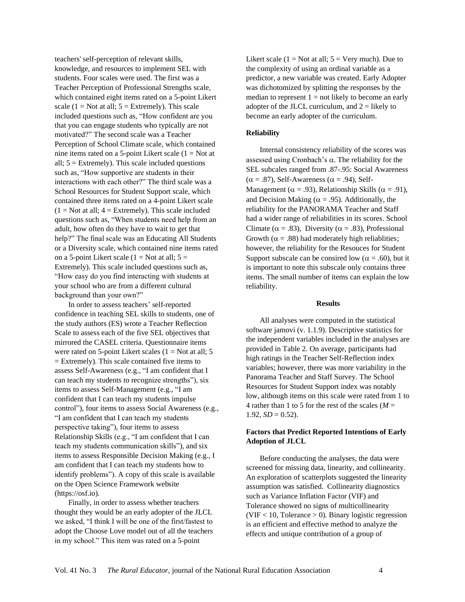teachers' self-perception of relevant skills, knowledge, and resources to implement SEL with students. Four scales were used. The first was a Teacher Perception of Professional Strengths scale, which contained eight items rated on a 5-point Likert scale (1 = Not at all;  $5 =$  Extremely). This scale included questions such as, "How confident are you that you can engage students who typically are not motivated?" The second scale was a Teacher Perception of School Climate scale, which contained nine items rated on a 5-point Likert scale  $(1 = Not at$ all;  $5 =$  Extremely). This scale included questions such as, "How supportive are students in their interactions with each other?" The third scale was a School Resources for Student Support scale, which contained three items rated on a 4-point Likert scale  $(1 = Not at all; 4 = Extremely)$ . This scale included questions such as, "When students need help from an adult, how often do they have to wait to get that help?" The final scale was an Educating All Students or a Diversity scale, which contained nine items rated on a 5-point Likert scale  $(1 = Not at all; 5 =$ Extremely). This scale included questions such as, "How easy do you find interacting with students at your school who are from a different cultural background than your own?"

In order to assess teachers' self-reported confidence in teaching SEL skills to students, one of the study authors (ES) wrote a Teacher Reflection Scale to assess each of the five SEL objectives that mirrored the CASEL criteria. Questionnaire items were rated on  $5$ -point Likert scales ( $1 = Not$  at all;  $5$ ) = Extremely). This scale contained five items to assess Self-Awareness (e.g., "I am confident that I can teach my students to recognize strengths"), six items to assess Self-Management (e.g., "I am confident that I can teach my students impulse control"), four items to assess Social Awareness (e.g., "I am confident that I can teach my students perspective taking"), four items to assess Relationship Skills (e.g., "I am confident that I can teach my students communication skills"), and six items to assess Responsible Decision Making (e.g., I am confident that I can teach my students how to identify problems"). A copy of this scale is available on the Open Science Framework website (https://osf.io).

Finally, in order to assess whether teachers thought they would be an early adopter of the JLCL we asked, "I think I will be one of the first/fastest to adopt the Choose Love model out of all the teachers in my school." This item was rated on a 5-point

Likert scale ( $1 = Not$  at all;  $5 = Very$  much). Due to the complexity of using an ordinal variable as a predictor, a new variable was created. Early Adopter was dichotomized by splitting the responses by the median to represent  $1 = not$  likely to become an early adopter of the JLCL curriculum, and  $2 =$  likely to become an early adopter of the curriculum.

## **Reliability**

Internal consistency reliability of the scores was assessed using Cronbach's  $\alpha$ . The reliability for the SEL subcales ranged from .87-.95: Social Awareness  $(\alpha = .87)$ , Self-Awareness ( $\alpha = .94$ ), Self-Management ( $\alpha$  = .93), Relationship Skills ( $\alpha$  = .91), and Decision Making ( $\alpha$  = .95). Additionally, the reliability for the PANORAMA Teacher and Staff had a wider range of reliabilities in its scores. School Climate ( $\alpha = .83$ ), Diversity ( $\alpha = .83$ ), Professional Growth ( $\alpha = .88$ ) had moderately high reliablities; however, the reliability for the Resouces for Student Support subscale can be consired low ( $\alpha$  = .60), but it is important to note this subscale only contains three items. The small number of items can explain the low reliability.

#### **Results**

All analyses were computed in the statistical software jamovi (v. 1.1.9). Descriptive statistics for the independent variables included in the analyses are provided in Table 2. On average, participants had high ratings in the Teacher Self-Reflection index variables; however, there was more variability in the Panorama Teacher and Staff Survey. The School Resources for Student Support index was notably low, although items on this scale were rated from 1 to 4 rather than 1 to 5 for the rest of the scales ( $M =$  $1.92, SD = 0.52$ .

# **Factors that Predict Reported Intentions of Early Adoption of JLCL**

Before conducting the analyses, the data were screened for missing data, linearity, and collinearity. An exploration of scatterplots suggested the linearity assumption was satisfied. Collinearity diagnostics such as Variance Inflation Factor (VIF) and Tolerance showed no signs of multicollinearity  $(VIF < 10$ , Tolerance  $> 0$ ). Binary logistic regression is an efficient and effective method to analyze the effects and unique contribution of a group of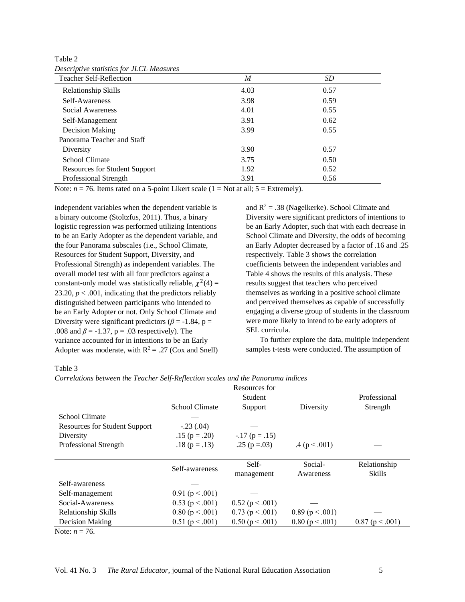| <b>Teacher Self-Reflection</b> | M    | <i>SD</i> |
|--------------------------------|------|-----------|
| <b>Relationship Skills</b>     | 4.03 | 0.57      |
| Self-Awareness                 | 3.98 | 0.59      |
| Social Awareness               | 4.01 | 0.55      |
| Self-Management                | 3.91 | 0.62      |
| Decision Making                | 3.99 | 0.55      |
| Panorama Teacher and Staff     |      |           |
| Diversity                      | 3.90 | 0.57      |
| School Climate                 | 3.75 | 0.50      |
| Resources for Student Support  | 1.92 | 0.52      |
| Professional Strength          | 3.91 | 0.56      |

Table 2 *Descriptive statistics for JLCL Measures* 

Note:  $n = 76$ . Items rated on a 5-point Likert scale  $(1 = Not at all; 5 = Extremely)$ .

independent variables when the dependent variable is a binary outcome (Stoltzfus, 2011). Thus, a binary logistic regression was performed utilizing Intentions to be an Early Adopter as the dependent variable, and the four Panorama subscales (i.e., School Climate, Resources for Student Support, Diversity, and Professional Strength) as independent variables. The overall model test with all four predictors against a constant-only model was statistically reliable,  $\chi^2(4)$  = 23.20,  $p < .001$ , indicating that the predictors reliably distinguished between participants who intended to be an Early Adopter or not. Only School Climate and Diversity were significant predictors ( $\beta$  = -1.84, p = .008 and  $\beta$  = -1.37, p = .03 respectively). The variance accounted for in intentions to be an Early Adopter was moderate, with  $R^2 = .27$  (Cox and Snell)

and  $R^2 = .38$  (Nagelkerke). School Climate and Diversity were significant predictors of intentions to be an Early Adopter, such that with each decrease in School Climate and Diversity, the odds of becoming an Early Adopter decreased by a factor of .16 and .25 respectively. Table 3 shows the correlation coefficients between the independent variables and Table 4 shows the results of this analysis. These results suggest that teachers who perceived themselves as working in a positive school climate and perceived themselves as capable of successfully engaging a diverse group of students in the classroom were more likely to intend to be early adopters of SEL curricula.

To further explore the data, multiple independent samples t-tests were conducted. The assumption of

Table 3

*Correlations between the Teacher Self-Reflection scales and the Panorama indices*

| Resources for                        |                       |                   |                   |               |
|--------------------------------------|-----------------------|-------------------|-------------------|---------------|
|                                      |                       | Student           |                   | Professional  |
|                                      | <b>School Climate</b> | Support           | Diversity         | Strength      |
| <b>School Climate</b>                |                       |                   |                   |               |
| <b>Resources for Student Support</b> | $-.23(.04)$           |                   |                   |               |
| Diversity                            | $.15$ (p = .20)       | $-.17$ (p = .15)  |                   |               |
| Professional Strength                | $.18$ (p = .13)       | .25 ( $p = .03$ ) | .4(p < .001)      |               |
|                                      |                       |                   |                   |               |
|                                      | Self-awareness        | Self-             | Social-           | Relationship  |
|                                      |                       | management        | Awareness         | <b>Skills</b> |
| Self-awareness                       |                       |                   |                   |               |
| Self-management                      | $0.91$ (p < .001)     |                   |                   |               |
| Social-Awareness                     | $0.53$ (p < .001)     | $0.52$ (p < .001) |                   |               |
| <b>Relationship Skills</b>           | 0.80 (p < .001)       | $0.73$ (p < .001) | $0.89$ (p < .001) |               |
| Decision Making                      | $0.51$ (p < .001)     | 0.50 (p < .001)   | 0.80 (p < .001)   | 0.87(p<.001)  |
| Note: $n = 76$ .                     |                       |                   |                   |               |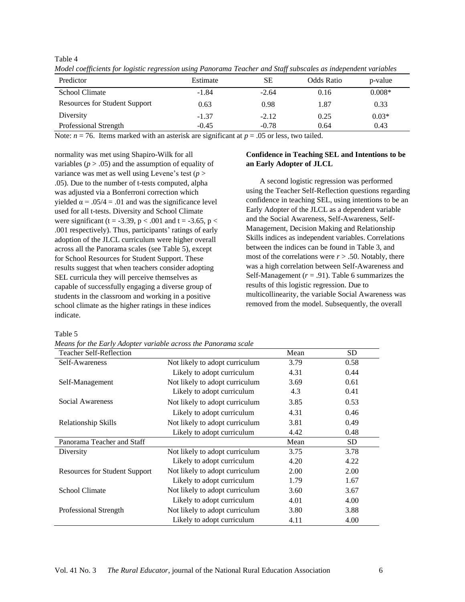Table 4

| Predictor                            | Estimate | SЕ      | Odds Ratio | p-value  |
|--------------------------------------|----------|---------|------------|----------|
| <b>School Climate</b>                | $-1.84$  | $-2.64$ | 0.16       | $0.008*$ |
| <b>Resources for Student Support</b> | 0.63     | 0.98    | 1.87       | 0.33     |
| Diversity                            | $-1.37$  | $-2.12$ | 0.25       | $0.03*$  |
| Professional Strength                | $-0.45$  | $-0.78$ | 0.64       | 0.43     |

*Model coefficients for logistic regression using Panorama Teacher and Staff subscales as independent variables* 

Note:  $n = 76$ . Items marked with an asterisk are significant at  $p = .05$  or less, two tailed.

normality was met using Shapiro-Wilk for all variables ( $p > .05$ ) and the assumption of equality of variance was met as well using Levene's test  $(p >$ .05). Due to the number of t-tests computed, alpha was adjusted via a Bonferroni correction which yielded  $\alpha = .05/4 = .01$  and was the significance level used for all t-tests. Diversity and School Climate were significant (t = -3.39, p < .001 and t = -3.65, p < .001 respectively). Thus, participants' ratings of early adoption of the JLCL curriculum were higher overall across all the Panorama scales (see Table 5), except for School Resources for Student Support. These results suggest that when teachers consider adopting SEL curricula they will perceive themselves as capable of successfully engaging a diverse group of students in the classroom and working in a positive school climate as the higher ratings in these indices indicate.

## Table 5

*Means for the Early Adopter variable across the Panorama scale*

# **Confidence in Teaching SEL and Intentions to be an Early Adopter of JLCL**

A second logistic regression was performed using the Teacher Self-Reflection questions regarding confidence in teaching SEL, using intentions to be an Early Adopter of the JLCL as a dependent variable and the Social Awareness, Self-Awareness, Self-Management, Decision Making and Relationship Skills indices as independent variables. Correlations between the indices can be found in Table 3, and most of the correlations were  $r > .50$ . Notably, there was a high correlation between Self-Awareness and Self-Management  $(r = .91)$ . Table 6 summarizes the results of this logistic regression. Due to multicollinearity, the variable Social Awareness was removed from the model. Subsequently, the overall

| <b>Teacher Self-Reflection</b>       |                                | Mean | SD.       |
|--------------------------------------|--------------------------------|------|-----------|
| Self-Awareness                       | Not likely to adopt curriculum | 3.79 | 0.58      |
|                                      | Likely to adopt curriculum     | 4.31 | 0.44      |
| Self-Management                      | Not likely to adopt curriculum | 3.69 | 0.61      |
|                                      | Likely to adopt curriculum     | 4.3  | 0.41      |
| Social Awareness                     | Not likely to adopt curriculum | 3.85 | 0.53      |
|                                      | Likely to adopt curriculum     | 4.31 | 0.46      |
| Relationship Skills                  | Not likely to adopt curriculum | 3.81 | 0.49      |
|                                      | Likely to adopt curriculum     | 4.42 | 0.48      |
| Panorama Teacher and Staff           |                                | Mean | <b>SD</b> |
| Diversity                            | Not likely to adopt curriculum | 3.75 | 3.78      |
|                                      | Likely to adopt curriculum     | 4.20 | 4.22      |
| <b>Resources for Student Support</b> | Not likely to adopt curriculum | 2.00 | 2.00      |
|                                      | Likely to adopt curriculum     | 1.79 | 1.67      |
| <b>School Climate</b>                | Not likely to adopt curriculum | 3.60 | 3.67      |
|                                      | Likely to adopt curriculum     | 4.01 | 4.00      |
| Professional Strength                | Not likely to adopt curriculum | 3.80 | 3.88      |
|                                      | Likely to adopt curriculum     | 4.11 | 4.00      |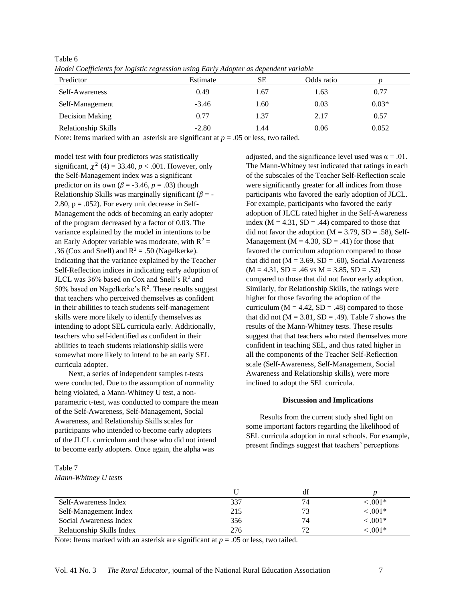| model Coefficients for logistic regression asing Early Auopter as dependent variable<br>Predictor | Estimate | SЕ   | Odds ratio |         |
|---------------------------------------------------------------------------------------------------|----------|------|------------|---------|
| Self-Awareness                                                                                    | 0.49     | l.67 | 1.63       | 0.77    |
| Self-Management                                                                                   | $-3.46$  | 1.60 | 0.03       | $0.03*$ |
| Decision Making                                                                                   | 0.77     | 1.37 | 2.17       | 0.57    |
| <b>Relationship Skills</b>                                                                        | $-2.80$  | .44  | 0.06       | 0.052   |

*Model Coefficients for logistic regression using Early Adopter as dependent variable*

Note: Items marked with an asterisk are significant at  $p = .05$  or less, two tailed.

model test with four predictors was statistically significant,  $\chi^2$  (4) = 33.40,  $p < .001$ . However, only the Self-Management index was a significant predictor on its own ( $\beta$  = -3.46,  $p$  = .03) though Relationship Skills was marginally significant (*β* = - 2.80,  $p = .052$ ). For every unit decrease in Self-Management the odds of becoming an early adopter of the program decreased by a factor of 0.03. The variance explained by the model in intentions to be an Early Adopter variable was moderate, with  $R^2 =$ .36 (Cox and Snell) and  $R^2$  = .50 (Nagelkerke). Indicating that the variance explained by the Teacher Self-Reflection indices in indicating early adoption of JLCL was  $36\%$  based on Cox and Snell's  $R^2$  and 50% based on Nagelkerke's  $R^2$ . These results suggest that teachers who perceived themselves as confident in their abilities to teach students self-management skills were more likely to identify themselves as intending to adopt SEL curricula early. Additionally, teachers who self-identified as confident in their abilities to teach students relationship skills were somewhat more likely to intend to be an early SEL curricula adopter.

Next, a series of independent samples t-tests were conducted. Due to the assumption of normality being violated, a Mann-Whitney U test, a nonparametric t-test, was conducted to compare the mean of the Self-Awareness, Self-Management, Social Awareness, and Relationship Skills scales for participants who intended to become early adopters of the JLCL curriculum and those who did not intend to become early adopters. Once again, the alpha was

adjusted, and the significance level used was  $\alpha = .01$ . The Mann-Whitney test indicated that ratings in each of the subscales of the Teacher Self-Reflection scale were significantly greater for all indices from those participants who favored the early adoption of JLCL. For example, participants who favored the early adoption of JLCL rated higher in the Self-Awareness index ( $M = 4.31$ ,  $SD = .44$ ) compared to those that did not favor the adoption  $(M = 3.79, SD = .58)$ , Self-Management ( $M = 4.30$ ,  $SD = .41$ ) for those that favored the curriculum adoption compared to those that did not ( $M = 3.69$ ,  $SD = .60$ ), Social Awareness  $(M = 4.31, SD = .46$  vs  $M = 3.85, SD = .52$ compared to those that did not favor early adoption. Similarly, for Relationship Skills, the ratings were higher for those favoring the adoption of the curriculum ( $M = 4.42$ ,  $SD = .48$ ) compared to those that did not  $(M = 3.81, SD = .49)$ . Table 7 shows the results of the Mann-Whitney tests. These results suggest that that teachers who rated themselves more confident in teaching SEL, and thus rated higher in all the components of the Teacher Self-Reflection scale (Self-Awareness, Self-Management, Social Awareness and Relationship skills), were more inclined to adopt the SEL curricula.

## **Discussion and Implications**

Results from the current study shed light on some important factors regarding the likelihood of SEL curricula adoption in rural schools. For example, present findings suggest that teachers' perceptions

Table 7 *Mann-Whitney U tests*

Table 6

| Self-Awareness Index      | 337 | 74 | $1001*$      |
|---------------------------|-----|----|--------------|
| Self-Management Index     | 215 | 73 | $\leq 0.01*$ |
| Social Awareness Index    | 356 | 74 | $\leq 0.01*$ |
| Relationship Skills Index | 276 | 70 | $1001*$      |

Note: Items marked with an asterisk are significant at  $p = 0.05$  or less, two tailed.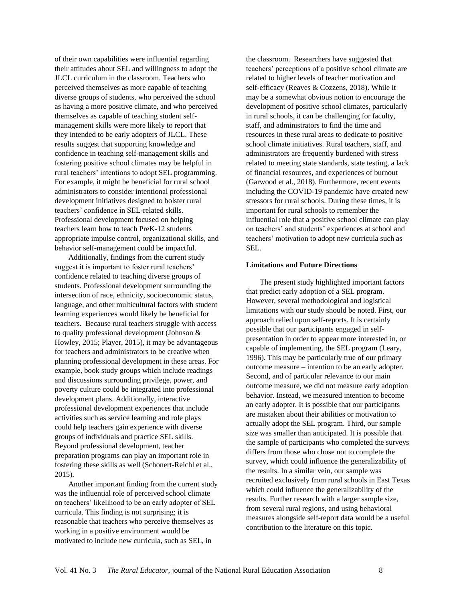of their own capabilities were influential regarding their attitudes about SEL and willingness to adopt the JLCL curriculum in the classroom. Teachers who perceived themselves as more capable of teaching diverse groups of students, who perceived the school as having a more positive climate, and who perceived themselves as capable of teaching student selfmanagement skills were more likely to report that they intended to be early adopters of JLCL. These results suggest that supporting knowledge and confidence in teaching self-management skills and fostering positive school climates may be helpful in rural teachers' intentions to adopt SEL programming. For example, it might be beneficial for rural school administrators to consider intentional professional development initiatives designed to bolster rural teachers' confidence in SEL-related skills. Professional development focused on helping teachers learn how to teach PreK-12 students appropriate impulse control, organizational skills, and behavior self-management could be impactful.

Additionally, findings from the current study suggest it is important to foster rural teachers' confidence related to teaching diverse groups of students. Professional development surrounding the intersection of race, ethnicity, socioeconomic status, language, and other multicultural factors with student learning experiences would likely be beneficial for teachers. Because rural teachers struggle with access to quality professional development (Johnson & Howley, 2015; Player, 2015), it may be advantageous for teachers and administrators to be creative when planning professional development in these areas. For example, book study groups which include readings and discussions surrounding privilege, power, and poverty culture could be integrated into professional development plans. Additionally, interactive professional development experiences that include activities such as service learning and role plays could help teachers gain experience with diverse groups of individuals and practice SEL skills. Beyond professional development, teacher preparation programs can play an important role in fostering these skills as well (Schonert-Reichl et al., 2015).

Another important finding from the current study was the influential role of perceived school climate on teachers' likelihood to be an early adopter of SEL curricula. This finding is not surprising; it is reasonable that teachers who perceive themselves as working in a positive environment would be motivated to include new curricula, such as SEL, in

the classroom. Researchers have suggested that teachers' perceptions of a positive school climate are related to higher levels of teacher motivation and self-efficacy (Reaves & Cozzens, 2018). While it may be a somewhat obvious notion to encourage the development of positive school climates, particularly in rural schools, it can be challenging for faculty, staff, and administrators to find the time and resources in these rural areas to dedicate to positive school climate initiatives. Rural teachers, staff, and administrators are frequently burdened with stress related to meeting state standards, state testing, a lack of financial resources, and experiences of burnout (Garwood et al., 2018). Furthermore, recent events including the COVID-19 pandemic have created new stressors for rural schools. During these times, it is important for rural schools to remember the influential role that a positive school climate can play on teachers' and students' experiences at school and teachers' motivation to adopt new curricula such as SEL.

#### **Limitations and Future Directions**

The present study highlighted important factors that predict early adoption of a SEL program. However, several methodological and logistical limitations with our study should be noted. First, our approach relied upon self-reports. It is certainly possible that our participants engaged in selfpresentation in order to appear more interested in, or capable of implementing, the SEL program (Leary, 1996). This may be particularly true of our primary outcome measure – intention to be an early adopter. Second, and of particular relevance to our main outcome measure, we did not measure early adoption behavior. Instead, we measured intention to become an early adopter. It is possible that our participants are mistaken about their abilities or motivation to actually adopt the SEL program. Third, our sample size was smaller than anticipated. It is possible that the sample of participants who completed the surveys differs from those who chose not to complete the survey, which could influence the generalizability of the results. In a similar vein, our sample was recruited exclusively from rural schools in East Texas which could influence the generalizability of the results. Further research with a larger sample size, from several rural regions, and using behavioral measures alongside self-report data would be a useful contribution to the literature on this topic.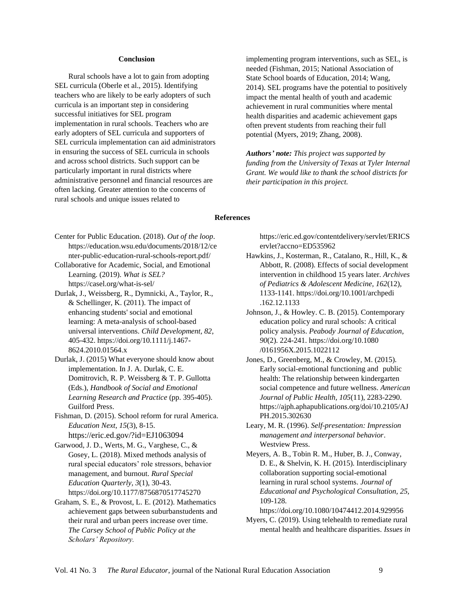## **Conclusion**

Rural schools have a lot to gain from adopting SEL curricula (Oberle et al., 2015). Identifying teachers who are likely to be early adopters of such curricula is an important step in considering successful initiatives for SEL program implementation in rural schools. Teachers who are early adopters of SEL curricula and supporters of SEL curricula implementation can aid administrators in ensuring the success of SEL curricula in schools and across school districts. Such support can be particularly important in rural districts where administrative personnel and financial resources are often lacking. Greater attention to the concerns of rural schools and unique issues related to

implementing program interventions, such as SEL, is needed (Fishman, 2015; National Association of State School boards of Education, 2014; Wang, 2014). SEL programs have the potential to positively impact the mental health of youth and academic achievement in rural communities where mental health disparities and academic achievement gaps often prevent students from reaching their full potential (Myers, 2019; Zhang, 2008).

*Authors' note: This project was supported by funding from the University of Texas at Tyler Internal Grant. We would like to thank the school districts for their participation in this project.*

# **References**

- Center for Public Education. (2018). *Out of the loop*. [https://education.wsu.edu/documents/2018/12/ce](https://education.wsu.edu/documents/2018/12/center-public-education-rural-schools-report.pdf/) [nter-public-education-rural-schools-report.pdf/](https://education.wsu.edu/documents/2018/12/center-public-education-rural-schools-report.pdf/)
- Collaborative for Academic, Social, and Emotional Learning. (2019). *What is SEL?*  <https://casel.org/what-is-sel/>
- Durlak, J., Weissberg, R., Dymnicki, A., Taylor, R., & Schellinger, K. (2011). The impact of enhancing students' social and emotional learning: A meta-analysis of school-based universal interventions. *Child Development, 82*, 405-432. [https://doi.org/10.1111/j.1467-](https://doi.org/10.1111/j.1467-8624.2010.01564.x) [8624.2010.01564.x](https://doi.org/10.1111/j.1467-8624.2010.01564.x)
- Durlak, J. (2015) What everyone should know about implementation. In J. A. Durlak, C. E. Domitrovich, R. P. Weissberg & T. P. Gullotta (Eds.), *Handbook of Social and Emotional Learning Research and Practice* (pp. 395-405). Guilford Press.
- Fishman, D. (2015). School reform for rural America. *Education Next, 15*(3), 8-15. https://eric.ed.gov/?id=EJ1063094
- Garwood, J. D., Werts, M. G., Varghese, C., & Gosey, L. (2018). Mixed methods analysis of rural special educators' role stressors, behavior management, and burnout. *Rural Special Education Quarterly, 3*(1), 30-43. https://doi.org/10.1177/8756870517745270
- Graham, S. E., & Provost, L. E. (2012). Mathematics achievement gaps between suburbanstudents and their rural and urban peers increase over time. *The Carsey School of Public Policy at the Scholars' Repository.*

[https://eric.ed.gov/contentdelivery/servlet/ERICS](https://eric.ed.gov/contentdelivery/servlet/ERICServlet?accno=ED535962) [ervlet?accno=ED535962](https://eric.ed.gov/contentdelivery/servlet/ERICServlet?accno=ED535962)

- Hawkins, J., Kosterman, R., Catalano, R., Hill, K., & Abbott, R. (2008). Effects of social development intervention in childhood 15 years later. *Archives of Pediatrics & Adolescent Medicine, 162*(12), 1133-1141. https://doi.org[/10.1001/archpedi](https://dx.doi.org/10.1001%2Farchpedi.162.12.1133) [.162.12.1133](https://dx.doi.org/10.1001%2Farchpedi.162.12.1133)
- Johnson, J., & Howley. C. B. (2015). Contemporary education policy and rural schools: A critical policy analysis. *Peabody Journal of Education*, *90*(2). 224-241. <https://doi.org/10.1080> /0161956X.2015.1022112
- Jones, D., Greenberg, M., & Crowley, M. (2015). Early social-emotional functioning and public health: The relationship between kindergarten social competence and future wellness. *American Journal of Public Health, 105*(11), 2283-2290. https://ajph.aphapublications.org/doi/10.2105/AJ PH.2015.302630
- Leary, M. R. (1996). *Self-presentation: Impression management and interpersonal behavior*. Westview Press.
- Meyers, A. B., Tobin R. M., Huber, B. J., Conway, D. E., & Shelvin, K. H. (2015). Interdisciplinary collaboration supporting social-emotional learning in rural school systems. *Journal of Educational and Psychological Consultation, 25,*  109-128.

https://doi.org/10.1080/10474412.2014.929956

Myers, C. (2019). Using telehealth to remediate rural mental health and healthcare disparities. *Issues in*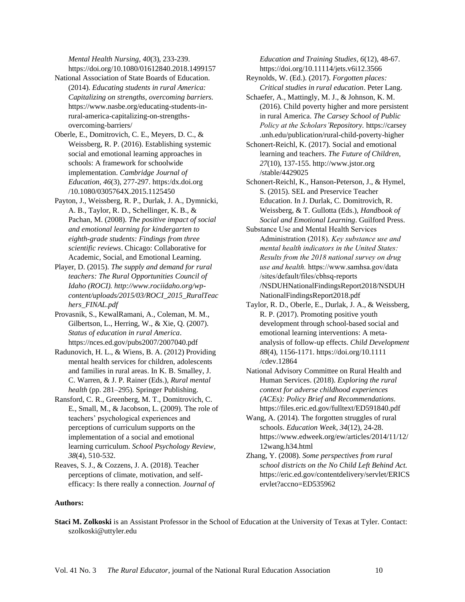*Mental Health Nursing, 40*(3), 233-239. https://doi.org/10.1080/01612840.2018.1499157

- National Association of State Boards of Education. (2014). *Educating students in rural America: Capitalizing on strengths, overcoming barriers.* https://www.nasbe.org/educating-students-inrural-america-capitalizing-on-strengthsovercoming-barriers/
- Oberle, E., Domitrovich, C. E., Meyers, D. C., & Weissberg, R. P. (2016). Establishing systemic social and emotional learning approaches in schools: A framework for schoolwide implementation. *Cambridge Journal of Education, 46*(3), 277-297. https:/dx.doi.org /10.1080/0305764X.2015.1125450
- Payton, J., Weissberg, R. P., Durlak, J. A., Dymnicki, A. B., Taylor, R. D., Schellinger, K. B., & Pachan, M. (2008). *The positive impact of social and emotional learning for kindergarten to eighth-grade students: Findings from three scientific reviews*. Chicago: Collaborative for Academic, Social, and Emotional Learning.
- Player, D. (2015). *The supply and demand for rural teachers: The Rural Opportunities Council of Idaho (ROCI). http://www.rociidaho.org/wpcontent/uploads/2015/03/ROCI\_2015\_RuralTeac hers\_FINAL.pdf*
- Provasnik, S., KewalRamani, A., Coleman, M. M., Gilbertson, L., Herring, W., & Xie, Q. (2007). *Status of education in rural America*. <https://nces.ed.gov/pubs2007/2007040.pdf>
- Radunovich, H. L., & Wiens, B. A. (2012) Providing mental health services for children, adolescents and families in rural areas. In K. B. Smalley, J. C. Warren, & J. P. Rainer (Eds.), *Rural mental health* (pp. 281–295). Springer Publishing.
- Ransford, C. R., Greenberg, M. T., Domitrovich, C. E., Small, M., & Jacobson, L. (2009). The role of teachers' psychological experiences and perceptions of curriculum supports on the implementation of a social and emotional learning curriculum. *School Psychology Review, 38*(4), 510-532.
- Reaves, S. J., & Cozzens, J. A. (2018). Teacher perceptions of climate, motivation, and selfefficacy: Is there really a connection. *Journal of*

*Education and Training Studies, 6*(12), 48-67. https://doi.org/10.11114/jets.v6i12.3566

- Reynolds, W. (Ed.). (2017). *Forgotten places: Critical studies in rural education*. Peter Lang.
- Schaefer, A., Mattingly, M. J., & Johnson, K. M. (2016). Child poverty higher and more persistent in rural America. *The Carsey School of Public Policy at the Scholars'Repository.* [https://carsey](https://carsey/) .unh.edu/publication/rural-child-poverty-higher
- Schonert-Reichl, K. (2017). Social and emotional learning and teachers. *The Future of Children, 27*(10), 137-155. [http://www.jstor.org](http://www.jstor.org/) /stable/4429025
- Schonert-Reichl, K., Hanson-Peterson, J., & Hymel, S. (2015). SEL and Preservice Teacher Education. In J. Durlak, C. Domitrovich, R. Weissberg, & T. Gullotta (Eds.), *Handbook of Social and Emotional Learning*. Guilford Press.
- Substance Use and Mental Health Services Administration (2018). *Key substance use and mental health indicators in the United States: Results from the 2018 national survey on drug use and health.* <https://www.samhsa.gov/data> /sites/default/files/cbhsq-reports /NSDUHNationalFindingsReport2018/NSDUH NationalFindingsReport2018.pdf
- Taylor, R. D., Oberle, E., Durlak, J. A., & Weissberg, R. P. (2017). Promoting positive youth development through school-based social and emotional learning interventions: A metaanalysis of follow-up effects. *Child Development 88*(4), 1156-1171. [https://doi.org/10.1111](https://doi.org/10.1111/cdev.12864) [/cdev.12864](https://doi.org/10.1111/cdev.12864)
- National Advisory Committee on Rural Health and Human Services. (2018). *Exploring the rural context for adverse childhood experiences (ACEs): Policy Brief and Recommendations.* https://files.eric.ed.gov/fulltext/ED591840.pdf
- Wang, A. (2014). The forgotten struggles of rural schools. *Education Week, 34*(12), 24-28. https://www.edweek.org/ew/articles/2014/11/12/ 12wang.h34.html
- Zhang, Y. (2008). *Some perspectives from rural school districts on the No Child Left Behind Act.*  [https://eric.ed.gov/contentdelivery/servlet/ERICS](https://eric.ed.gov/contentdelivery/servlet/ERICServlet?accno=ED535962) [ervlet?accno=ED535962](https://eric.ed.gov/contentdelivery/servlet/ERICServlet?accno=ED535962)

# **Authors:**

**Staci M. Zolkoski** is an Assistant Professor in the School of Education at the University of Texas at Tyler. Contact: [szolkoski@uttyler.edu](mailto:szolkoski@uttyler.edu)